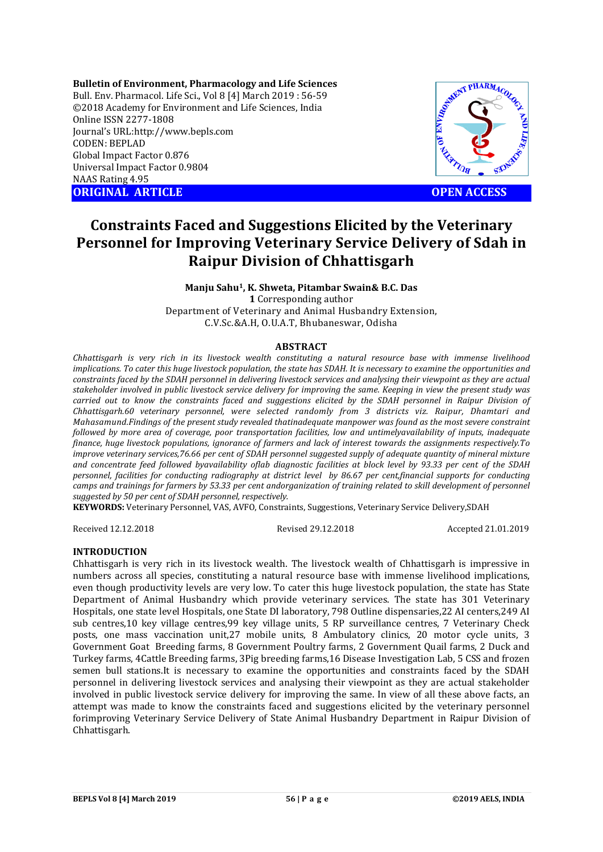**Bulletin of Environment, Pharmacology and Life Sciences** Bull. Env. Pharmacol. Life Sci., Vol 8 [4] March 2019 : 56-59 ©2018 Academy for Environment and Life Sciences, India Online ISSN 2277-1808 Journal's URL:http://www.bepls.com CODEN: BEPLAD Global Impact Factor 0.876 Universal Impact Factor 0.9804 NAAS Rating 4.95 **ORIGINAL ARTICLE OPEN ACCESS** 



## **Constraints Faced and Suggestions Elicited by the Veterinary Personnel for Improving Veterinary Service Delivery of Sdah in Raipur Division of Chhattisgarh**

**Manju Sahu1, K. Shweta, Pitambar Swain& B.C. Das 1** Corresponding author

Department of Veterinary and Animal Husbandry Extension, C.V.Sc.&A.H, O.U.A.T, Bhubaneswar, Odisha

#### **ABSTRACT**

*Chhattisgarh is very rich in its livestock wealth constituting a natural resource base with immense livelihood implications. To cater this huge livestock population, the state has SDAH. It is necessary to examine the opportunities and constraints faced by the SDAH personnel in delivering livestock services and analysing their viewpoint as they are actual stakeholder involved in public livestock service delivery for improving the same. Keeping in view the present study was carried out to know the constraints faced and suggestions elicited by the SDAH personnel in Raipur Division of Chhattisgarh.60 veterinary personnel, were selected randomly from 3 districts viz. Raipur, Dhamtari and Mahasamund.Findings of the present study revealed thatinadequate manpower was found as the most severe constraint followed by more area of coverage, poor transportation facilities, low and untimelyavailability of inputs, inadequate finance, huge livestock populations, ignorance of farmers and lack of interest towards the assignments respectively.To improve veterinary services,76.66 per cent of SDAH personnel suggested supply of adequate quantity of mineral mixture and concentrate feed followed byavailability oflab diagnostic facilities at block level by 93.33 per cent of the SDAH personnel, facilities for conducting radiography at district level by 86.67 per cent,financial supports for conducting camps and trainings for farmers by 53.33 per cent andorganization of training related to skill development of personnel suggested by 50 per cent of SDAH personnel, respectively.*

**KEYWORDS:** Veterinary Personnel, VAS, AVFO, Constraints, Suggestions, Veterinary Service Delivery,SDAH

Received 12.12.2018 Revised 29.12.2018 Accepted 21.01.2019

#### **INTRODUCTION**

Chhattisgarh is very rich in its livestock wealth. The livestock wealth of Chhattisgarh is impressive in numbers across all species, constituting a natural resource base with immense livelihood implications, even though productivity levels are very low. To cater this huge livestock population, the state has State Department of Animal Husbandry which provide veterinary services. The state has 301 Veterinary Hospitals, one state level Hospitals, one State DI laboratory, 798 Outline dispensaries,22 AI centers,249 AI sub centres,10 key village centres,99 key village units, 5 RP surveillance centres, 7 Veterinary Check posts, one mass vaccination unit,27 mobile units, 8 Ambulatory clinics, 20 motor cycle units, 3 Government Goat Breeding farms, 8 Government Poultry farms, 2 Government Quail farms, 2 Duck and Turkey farms, 4Cattle Breeding farms, 3Pig breeding farms,16 Disease Investigation Lab, 5 CSS and frozen semen bull stations.It is necessary to examine the opportunities and constraints faced by the SDAH personnel in delivering livestock services and analysing their viewpoint as they are actual stakeholder involved in public livestock service delivery for improving the same. In view of all these above facts, an attempt was made to know the constraints faced and suggestions elicited by the veterinary personnel forimproving Veterinary Service Delivery of State Animal Husbandry Department in Raipur Division of Chhattisgarh.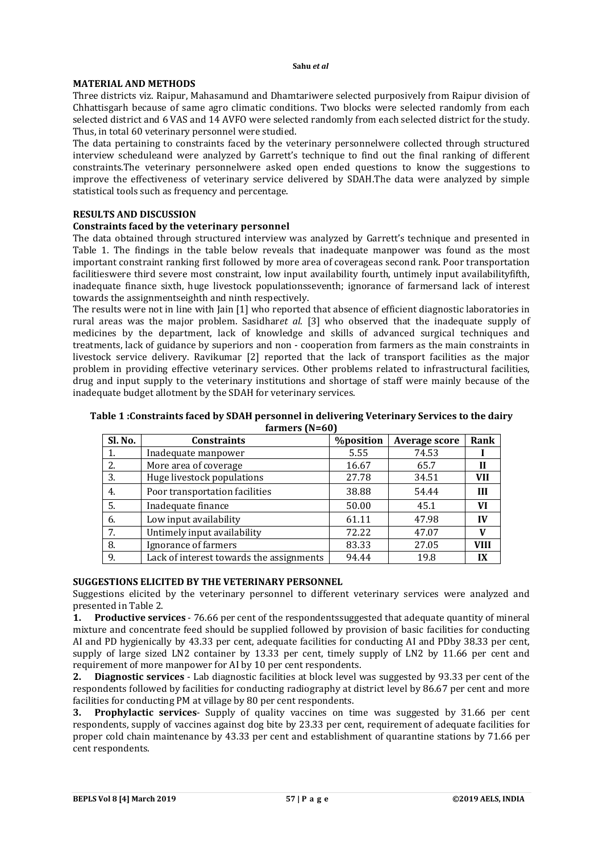#### **MATERIAL AND METHODS**

Three districts viz. Raipur, Mahasamund and Dhamtariwere selected purposively from Raipur division of Chhattisgarh because of same agro climatic conditions. Two blocks were selected randomly from each selected district and 6 VAS and 14 AVFO were selected randomly from each selected district for the study. Thus, in total 60 veterinary personnel were studied.

The data pertaining to constraints faced by the veterinary personnelwere collected through structured interview scheduleand were analyzed by Garrett's technique to find out the final ranking of different constraints.The veterinary personnelwere asked open ended questions to know the suggestions to improve the effectiveness of veterinary service delivered by SDAH.The data were analyzed by simple statistical tools such as frequency and percentage.

#### **RESULTS AND DISCUSSION**

#### **Constraints faced by the veterinary personnel**

The data obtained through structured interview was analyzed by Garrett's technique and presented in Table 1. The findings in the table below reveals that inadequate manpower was found as the most important constraint ranking first followed by more area of coverageas second rank. Poor transportation facilitieswere third severe most constraint, low input availability fourth, untimely input availabilityfifth, inadequate finance sixth, huge livestock populationsseventh; ignorance of farmersand lack of interest towards the assignmentseighth and ninth respectively.

The results were not in line with Jain [1] who reported that absence of efficient diagnostic laboratories in rural areas was the major problem. Sasidhar*et al*. [3] who observed that the inadequate supply of medicines by the department, lack of knowledge and skills of advanced surgical techniques and treatments, lack of guidance by superiors and non - cooperation from farmers as the main constraints in livestock service delivery. Ravikumar [2] reported that the lack of transport facilities as the major problem in providing effective veterinary services. Other problems related to infrastructural facilities, drug and input supply to the veterinary institutions and shortage of staff were mainly because of the inadequate budget allotment by the SDAH for veterinary services.

| Table 1: Constraints faced by SDAH personnel in delivering Veterinary Services to the dairy |  |
|---------------------------------------------------------------------------------------------|--|
| farmers $(N=60)$                                                                            |  |

| Sl. No.                          | <b>%position</b><br><b>Constraints</b>   |                | <b>Average score</b> | Rank        |
|----------------------------------|------------------------------------------|----------------|----------------------|-------------|
| 1.                               | Inadequate manpower                      | 5.55           | 74.53                |             |
| 2.                               | More area of coverage                    | 16.67          | 65.7                 | Н           |
| Huge livestock populations<br>3. |                                          | 27.78          | 34.51                | <b>VII</b>  |
| 4.                               | Poor transportation facilities           | 38.88<br>54.44 |                      | Ш           |
| .5.                              | Inadequate finance                       | 50.00          | 45.1                 | VI          |
| 6.                               | Low input availability                   | 61.11          | 47.98                | $\bf{IV}$   |
| 7.                               | Untimely input availability              | 72.22          | 47.07                | V           |
| 8.                               | Ignorance of farmers                     | 83.33          | 27.05                | <b>VIII</b> |
| 9.                               | Lack of interest towards the assignments | 94.44          | 19.8                 | IX          |

#### **SUGGESTIONS ELICITED BY THE VETERINARY PERSONNEL**

Suggestions elicited by the veterinary personnel to different veterinary services were analyzed and presented in Table 2.

**1. Productive services** - 76.66 per cent of the respondentssuggested that adequate quantity of mineral mixture and concentrate feed should be supplied followed by provision of basic facilities for conducting AI and PD hygienically by 43.33 per cent, adequate facilities for conducting AI and PDby 38.33 per cent, supply of large sized LN2 container by 13.33 per cent, timely supply of LN2 by 11.66 per cent and requirement of more manpower for AI by 10 per cent respondents.

**2. Diagnostic services** - Lab diagnostic facilities at block level was suggested by 93.33 per cent of the respondents followed by facilities for conducting radiography at district level by 86.67 per cent and more facilities for conducting PM at village by 80 per cent respondents.

**3. Prophylactic services**- Supply of quality vaccines on time was suggested by 31.66 per cent respondents, supply of vaccines against dog bite by 23.33 per cent, requirement of adequate facilities for proper cold chain maintenance by 43.33 per cent and establishment of quarantine stations by 71.66 per cent respondents.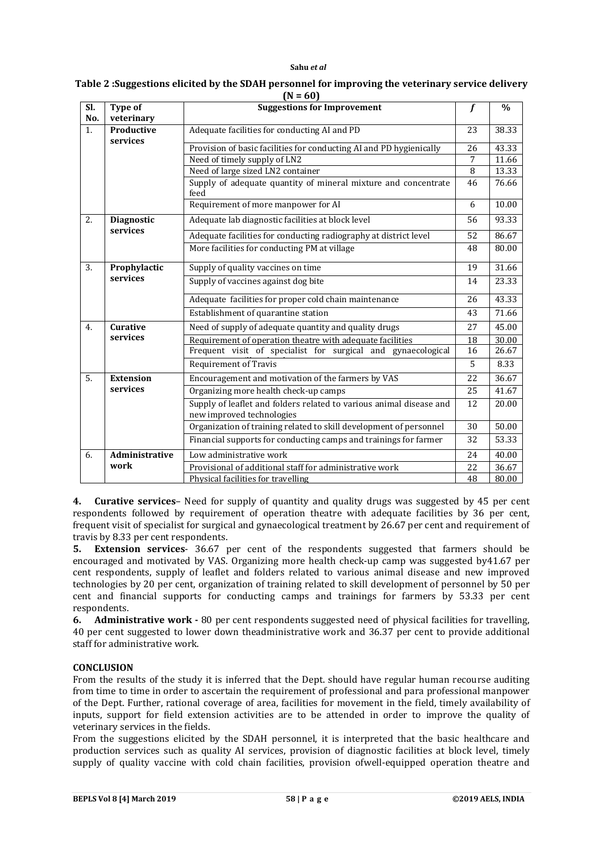#### **Sahu** *et al*

|     | $(N = 60)$                    |                                                                                                  |    |               |  |  |  |  |
|-----|-------------------------------|--------------------------------------------------------------------------------------------------|----|---------------|--|--|--|--|
| Sl. | Type of                       | <b>Suggestions for Improvement</b>                                                               |    | $\frac{0}{0}$ |  |  |  |  |
| No. | veterinary                    |                                                                                                  |    |               |  |  |  |  |
| 1.  | Productive<br>services        | Adequate facilities for conducting AI and PD                                                     | 23 | 38.33         |  |  |  |  |
|     |                               | Provision of basic facilities for conducting AI and PD hygienically                              |    | 43.33         |  |  |  |  |
|     |                               | Need of timely supply of LN2                                                                     |    | 11.66         |  |  |  |  |
|     |                               | Need of large sized LN2 container                                                                |    | 13.33         |  |  |  |  |
|     |                               | Supply of adequate quantity of mineral mixture and concentrate<br>feed                           | 46 | 76.66         |  |  |  |  |
|     |                               | Requirement of more manpower for AI                                                              | 6  | 10.00         |  |  |  |  |
| 2.  | <b>Diagnostic</b><br>services | Adequate lab diagnostic facilities at block level                                                |    | 93.33         |  |  |  |  |
|     |                               | Adequate facilities for conducting radiography at district level                                 | 52 | 86.67         |  |  |  |  |
|     |                               | More facilities for conducting PM at village                                                     | 48 | 80.00         |  |  |  |  |
| 3.  | Prophylactic                  | Supply of quality vaccines on time                                                               | 19 | 31.66         |  |  |  |  |
|     | services                      | Supply of vaccines against dog bite                                                              | 14 | 23.33         |  |  |  |  |
|     |                               | Adequate facilities for proper cold chain maintenance                                            |    | 43.33         |  |  |  |  |
|     |                               | Establishment of quarantine station                                                              | 43 | 71.66         |  |  |  |  |
| 4.  | <b>Curative</b>               | Need of supply of adequate quantity and quality drugs                                            |    | 45.00         |  |  |  |  |
|     | services                      | Requirement of operation theatre with adequate facilities                                        |    | 30.00         |  |  |  |  |
|     |                               | Frequent visit of specialist for surgical and gynaecological                                     |    | 26.67         |  |  |  |  |
|     |                               | <b>Requirement of Travis</b>                                                                     | 5  | 8.33          |  |  |  |  |
| 5.  | <b>Extension</b>              | Encouragement and motivation of the farmers by VAS                                               | 22 | 36.67         |  |  |  |  |
|     | services                      | Organizing more health check-up camps                                                            | 25 | 41.67         |  |  |  |  |
|     |                               | Supply of leaflet and folders related to various animal disease and<br>new improved technologies | 12 | 20.00         |  |  |  |  |
|     |                               | Organization of training related to skill development of personnel                               | 30 | 50.00         |  |  |  |  |
|     |                               | Financial supports for conducting camps and trainings for farmer                                 | 32 | 53.33         |  |  |  |  |
| 6.  | Administrative                | Low administrative work                                                                          | 24 | 40.00         |  |  |  |  |
|     | work                          | Provisional of additional staff for administrative work                                          | 22 | 36.67         |  |  |  |  |
|     |                               | Physical facilities for travelling                                                               | 48 | 80.00         |  |  |  |  |

# **Table 2 :Suggestions elicited by the SDAH personnel for improving the veterinary service delivery**

**4. Curative services**– Need for supply of quantity and quality drugs was suggested by 45 per cent respondents followed by requirement of operation theatre with adequate facilities by 36 per cent, frequent visit of specialist for surgical and gynaecological treatment by 26.67 per cent and requirement of travis by 8.33 per cent respondents.

**5. Extension services**- 36.67 per cent of the respondents suggested that farmers should be encouraged and motivated by VAS. Organizing more health check-up camp was suggested by41.67 per cent respondents, supply of leaflet and folders related to various animal disease and new improved technologies by 20 per cent, organization of training related to skill development of personnel by 50 per cent and financial supports for conducting camps and trainings for farmers by 53.33 per cent respondents.

**6. Administrative work -** 80 per cent respondents suggested need of physical facilities for travelling, 40 per cent suggested to lower down theadministrative work and 36.37 per cent to provide additional staff for administrative work.

### **CONCLUSION**

From the results of the study it is inferred that the Dept. should have regular human recourse auditing from time to time in order to ascertain the requirement of professional and para professional manpower of the Dept. Further, rational coverage of area, facilities for movement in the field, timely availability of inputs, support for field extension activities are to be attended in order to improve the quality of veterinary services in the fields.

From the suggestions elicited by the SDAH personnel, it is interpreted that the basic healthcare and production services such as quality AI services, provision of diagnostic facilities at block level, timely supply of quality vaccine with cold chain facilities, provision ofwell-equipped operation theatre and